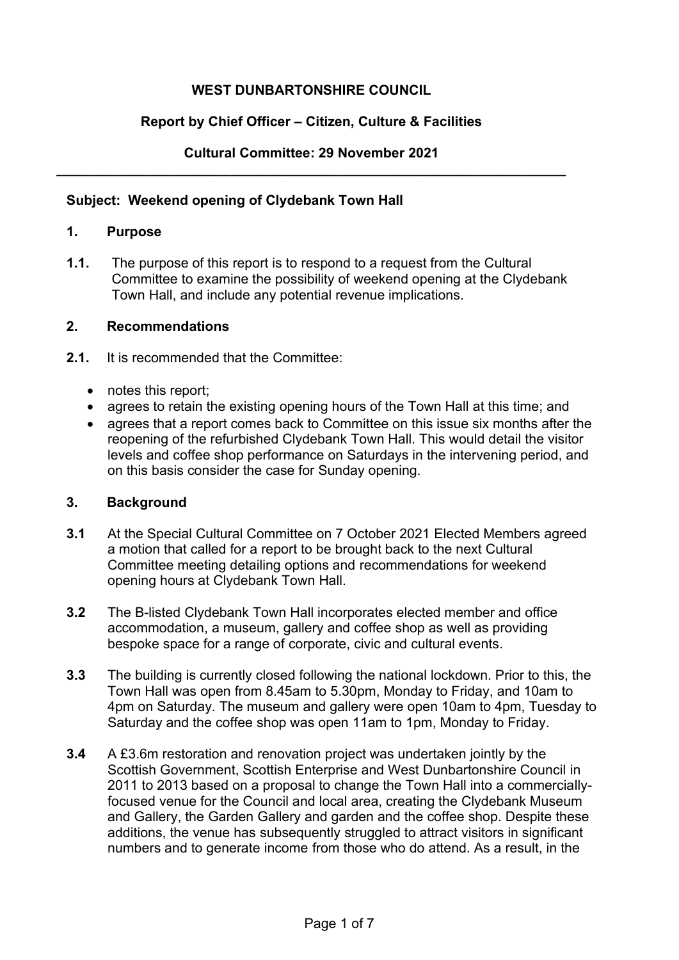# **WEST DUNBARTONSHIRE COUNCIL**

## **Report by Chief Officer – Citizen, Culture & Facilities**

#### **Cultural Committee: 29 November 2021 \_\_\_\_\_\_\_\_\_\_\_\_\_\_\_\_\_\_\_\_\_\_\_\_\_\_\_\_\_\_\_\_\_\_\_\_\_\_\_\_\_\_\_\_\_\_\_\_\_\_\_\_\_\_\_\_\_\_\_\_\_\_\_\_\_\_\_**

### **Subject: Weekend opening of Clydebank Town Hall**

## **1. Purpose**

**1.1.** The purpose of this report is to respond to a request from the Cultural Committee to examine the possibility of weekend opening at the Clydebank Town Hall, and include any potential revenue implications.

## **2. Recommendations**

- **2.1.** It is recommended that the Committee:
	- notes this report;
	-
	- agrees to retain the existing opening hours of the Town Hall at this time; and<br>• agrees that a report comes back to Committee on this issue six months after • agrees that a report comes back to Committee on this issue six months after the reopening of the refurbished Clydebank Town Hall. This would detail the visitor levels and coffee shop performance on Saturdays in the intervening period, and on this basis consider the case for Sunday opening.

### **3. Background**

- **3.1** At the Special Cultural Committee on 7 October 2021 Elected Members agreed a motion that called for a report to be brought back to the next Cultural Committee meeting detailing options and recommendations for weekend opening hours at Clydebank Town Hall.
- **3.2** The B-listed Clydebank Town Hall incorporates elected member and office accommodation, a museum, gallery and coffee shop as well as providing bespoke space for a range of corporate, civic and cultural events.
- **3.3** The building is currently closed following the national lockdown. Prior to this, the Town Hall was open from 8.45am to 5.30pm, Monday to Friday, and 10am to 4pm on Saturday. The museum and gallery were open 10am to 4pm, Tuesday to Saturday and the coffee shop was open 11am to 1pm, Monday to Friday.
- **3.4** A £3.6m restoration and renovation project was undertaken jointly by the Scottish Government, Scottish Enterprise and West Dunbartonshire Council in 2011 to 2013 based on a proposal to change the Town Hall into a commerciallyfocused venue for the Council and local area, creating the Clydebank Museum and Gallery, the Garden Gallery and garden and the coffee shop. Despite these additions, the venue has subsequently struggled to attract visitors in significant numbers and to generate income from those who do attend. As a result, in the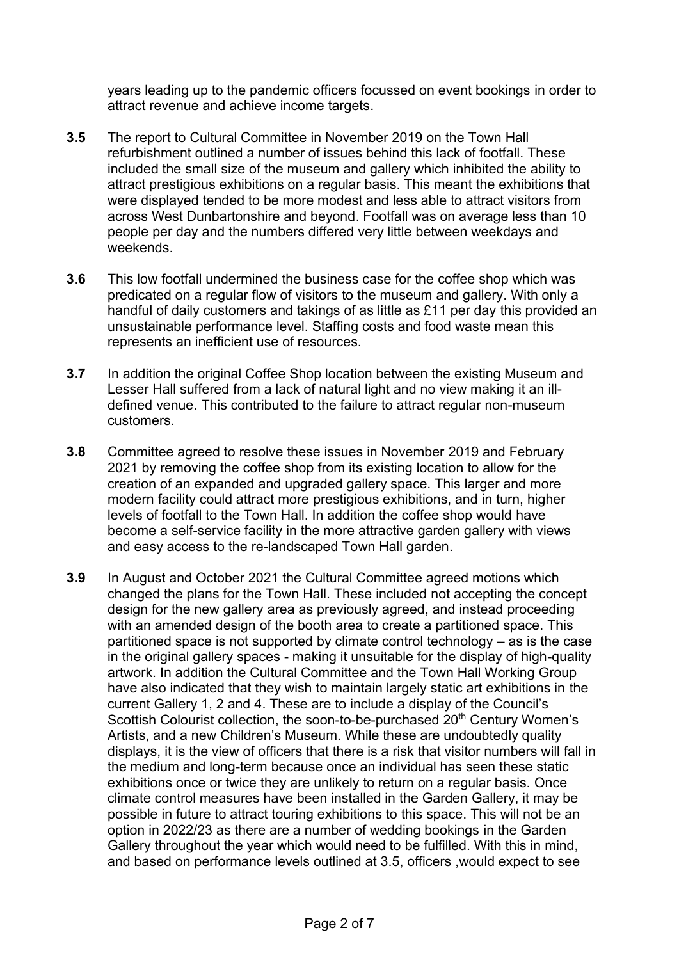years leading up to the pandemic officers focussed on event bookings in order to attract revenue and achieve income targets.

- **3.5** The report to Cultural Committee in November 2019 on the Town Hall refurbishment outlined a number of issues behind this lack of footfall. These included the small size of the museum and gallery which inhibited the ability to attract prestigious exhibitions on a regular basis. This meant the exhibitions that were displayed tended to be more modest and less able to attract visitors from across West Dunbartonshire and beyond. Footfall was on average less than 10 people per day and the numbers differed very little between weekdays and weekends.
- **3.6** This low footfall undermined the business case for the coffee shop which was predicated on a regular flow of visitors to the museum and gallery. With only a handful of daily customers and takings of as little as £11 per day this provided an unsustainable performance level. Staffing costs and food waste mean this represents an inefficient use of resources.
- **3.7** In addition the original Coffee Shop location between the existing Museum and Lesser Hall suffered from a lack of natural light and no view making it an illdefined venue. This contributed to the failure to attract regular non-museum customers.
- **3.8** Committee agreed to resolve these issues in November 2019 and February 2021 by removing the coffee shop from its existing location to allow for the creation of an expanded and upgraded gallery space. This larger and more modern facility could attract more prestigious exhibitions, and in turn, higher levels of footfall to the Town Hall. In addition the coffee shop would have become a self-service facility in the more attractive garden gallery with views and easy access to the re-landscaped Town Hall garden.
- **3.9** In August and October 2021 the Cultural Committee agreed motions which changed the plans for the Town Hall. These included not accepting the concept design for the new gallery area as previously agreed, and instead proceeding with an amended design of the booth area to create a partitioned space. This partitioned space is not supported by climate control technology – as is the case in the original gallery spaces - making it unsuitable for the display of high-quality artwork. In addition the Cultural Committee and the Town Hall Working Group have also indicated that they wish to maintain largely static art exhibitions in the current Gallery 1, 2 and 4. These are to include a display of the Council's Scottish Colourist collection, the soon-to-be-purchased 20<sup>th</sup> Century Women's Artists, and a new Children's Museum. While these are undoubtedly quality displays, it is the view of officers that there is a risk that visitor numbers will fall in the medium and long-term because once an individual has seen these static exhibitions once or twice they are unlikely to return on a regular basis. Once climate control measures have been installed in the Garden Gallery, it may be possible in future to attract touring exhibitions to this space. This will not be an option in 2022/23 as there are a number of wedding bookings in the Garden Gallery throughout the year which would need to be fulfilled. With this in mind, and based on performance levels outlined at 3.5, officers ,would expect to see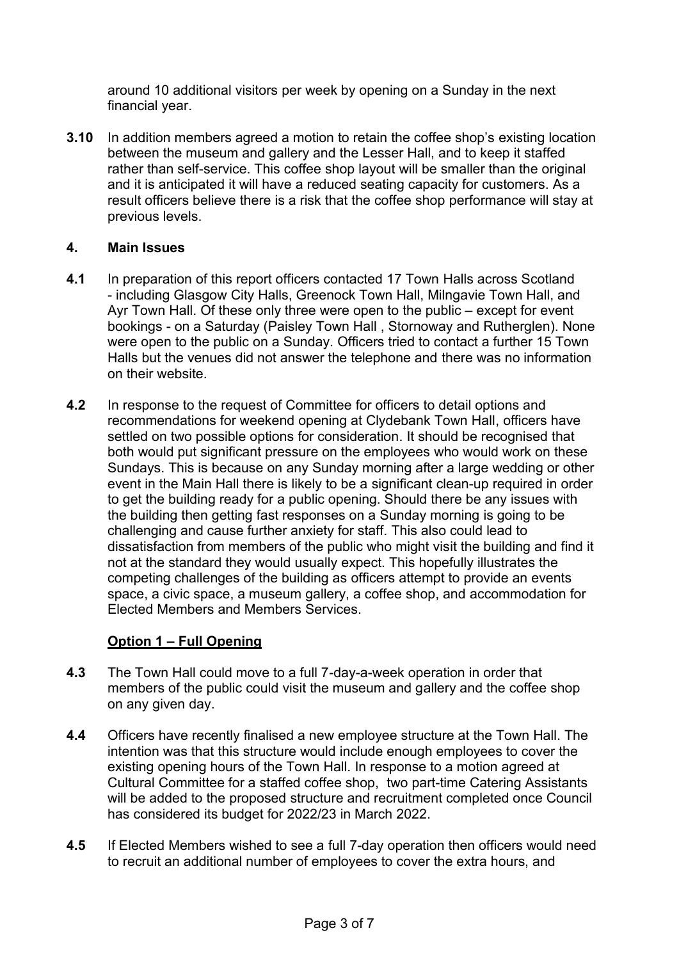around 10 additional visitors per week by opening on a Sunday in the next financial year.

**3.10** In addition members agreed a motion to retain the coffee shop's existing location between the museum and gallery and the Lesser Hall, and to keep it staffed rather than self-service. This coffee shop layout will be smaller than the original and it is anticipated it will have a reduced seating capacity for customers. As a result officers believe there is a risk that the coffee shop performance will stay at previous levels.

## **4. Main Issues**

- **4.1** In preparation of this report officers contacted 17 Town Halls across Scotland - including Glasgow City Halls, Greenock Town Hall, Milngavie Town Hall, and Ayr Town Hall. Of these only three were open to the public – except for event bookings - on a Saturday (Paisley Town Hall , Stornoway and Rutherglen). None were open to the public on a Sunday. Officers tried to contact a further 15 Town Halls but the venues did not answer the telephone and there was no information on their website.
- **4.2** In response to the request of Committee for officers to detail options and recommendations for weekend opening at Clydebank Town Hall, officers have settled on two possible options for consideration. It should be recognised that both would put significant pressure on the employees who would work on these Sundays. This is because on any Sunday morning after a large wedding or other event in the Main Hall there is likely to be a significant clean-up required in order to get the building ready for a public opening. Should there be any issues with the building then getting fast responses on a Sunday morning is going to be challenging and cause further anxiety for staff. This also could lead to dissatisfaction from members of the public who might visit the building and find it not at the standard they would usually expect. This hopefully illustrates the competing challenges of the building as officers attempt to provide an events space, a civic space, a museum gallery, a coffee shop, and accommodation for Elected Members and Members Services.

## **Option 1 – Full Opening**

- **4.3** The Town Hall could move to a full 7-day-a-week operation in order that members of the public could visit the museum and gallery and the coffee shop on any given day.
- **4.4** Officers have recently finalised a new employee structure at the Town Hall. The intention was that this structure would include enough employees to cover the existing opening hours of the Town Hall. In response to a motion agreed at Cultural Committee for a staffed coffee shop, two part-time Catering Assistants will be added to the proposed structure and recruitment completed once Council has considered its budget for 2022/23 in March 2022.
- **4.5** If Elected Members wished to see a full 7-day operation then officers would need to recruit an additional number of employees to cover the extra hours, and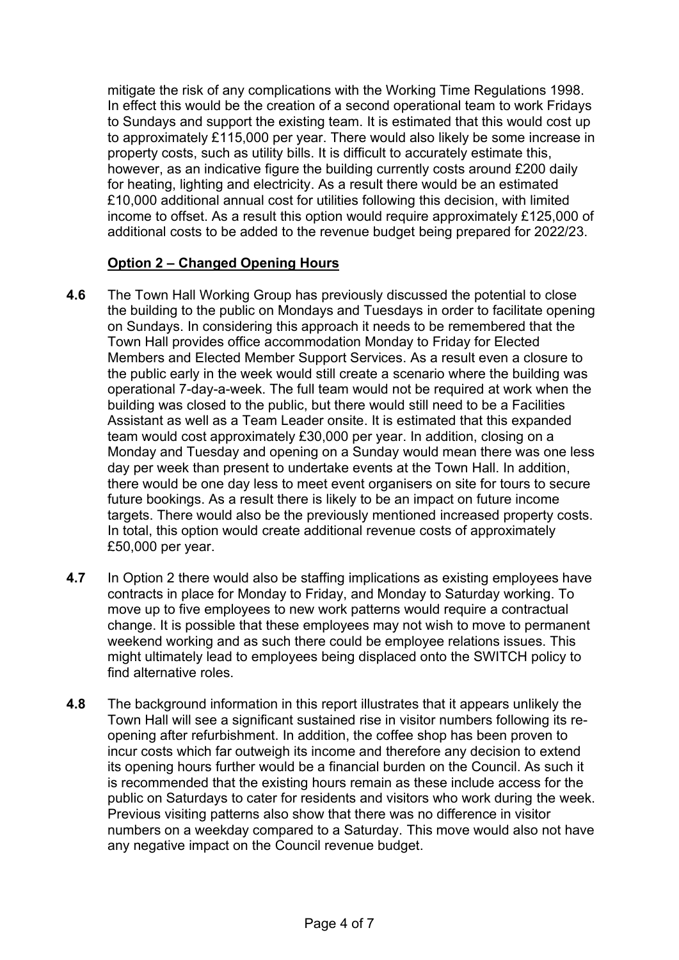mitigate the risk of any complications with the Working Time Regulations 1998. In effect this would be the creation of a second operational team to work Fridays to Sundays and support the existing team. It is estimated that this would cost up to approximately £115,000 per year. There would also likely be some increase in property costs, such as utility bills. It is difficult to accurately estimate this, however, as an indicative figure the building currently costs around £200 daily for heating, lighting and electricity. As a result there would be an estimated £10,000 additional annual cost for utilities following this decision, with limited income to offset. As a result this option would require approximately £125,000 of additional costs to be added to the revenue budget being prepared for 2022/23.

# **Option 2 – Changed Opening Hours**

- **4.6** The Town Hall Working Group has previously discussed the potential to close the building to the public on Mondays and Tuesdays in order to facilitate opening on Sundays. In considering this approach it needs to be remembered that the Town Hall provides office accommodation Monday to Friday for Elected Members and Elected Member Support Services. As a result even a closure to the public early in the week would still create a scenario where the building was operational 7-day-a-week. The full team would not be required at work when the building was closed to the public, but there would still need to be a Facilities Assistant as well as a Team Leader onsite. It is estimated that this expanded team would cost approximately £30,000 per year. In addition, closing on a Monday and Tuesday and opening on a Sunday would mean there was one less day per week than present to undertake events at the Town Hall. In addition, there would be one day less to meet event organisers on site for tours to secure future bookings. As a result there is likely to be an impact on future income targets. There would also be the previously mentioned increased property costs. In total, this option would create additional revenue costs of approximately £50,000 per year.
- **4.7** In Option 2 there would also be staffing implications as existing employees have contracts in place for Monday to Friday, and Monday to Saturday working. To move up to five employees to new work patterns would require a contractual change. It is possible that these employees may not wish to move to permanent weekend working and as such there could be employee relations issues. This might ultimately lead to employees being displaced onto the SWITCH policy to find alternative roles.
- **4.8** The background information in this report illustrates that it appears unlikely the Town Hall will see a significant sustained rise in visitor numbers following its reopening after refurbishment. In addition, the coffee shop has been proven to incur costs which far outweigh its income and therefore any decision to extend its opening hours further would be a financial burden on the Council. As such it is recommended that the existing hours remain as these include access for the public on Saturdays to cater for residents and visitors who work during the week. Previous visiting patterns also show that there was no difference in visitor numbers on a weekday compared to a Saturday. This move would also not have any negative impact on the Council revenue budget.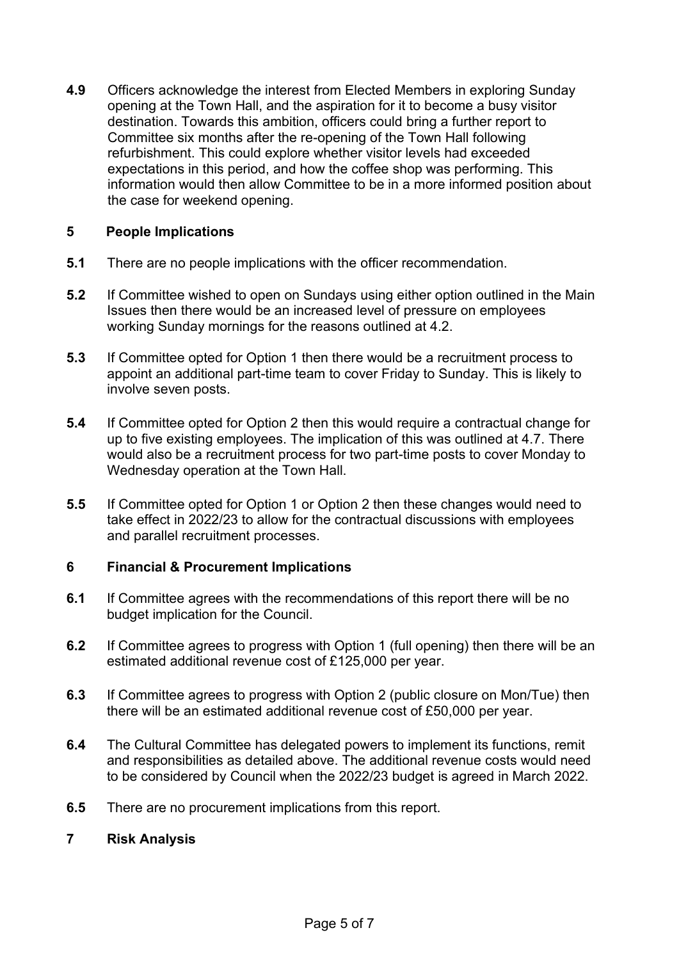**4.9** Officers acknowledge the interest from Elected Members in exploring Sunday opening at the Town Hall, and the aspiration for it to become a busy visitor destination. Towards this ambition, officers could bring a further report to Committee six months after the re-opening of the Town Hall following refurbishment. This could explore whether visitor levels had exceeded expectations in this period, and how the coffee shop was performing. This information would then allow Committee to be in a more informed position about the case for weekend opening.

## **5 People Implications**

- **5.1** There are no people implications with the officer recommendation.
- **5.2** If Committee wished to open on Sundays using either option outlined in the Main Issues then there would be an increased level of pressure on employees working Sunday mornings for the reasons outlined at 4.2.
- **5.3** If Committee opted for Option 1 then there would be a recruitment process to appoint an additional part-time team to cover Friday to Sunday. This is likely to involve seven posts.
- **5.4** If Committee opted for Option 2 then this would require a contractual change for up to five existing employees. The implication of this was outlined at 4.7. There would also be a recruitment process for two part-time posts to cover Monday to Wednesday operation at the Town Hall.
- **5.5** If Committee opted for Option 1 or Option 2 then these changes would need to take effect in 2022/23 to allow for the contractual discussions with employees and parallel recruitment processes.

### **6 Financial & Procurement Implications**

- **6.1** If Committee agrees with the recommendations of this report there will be no budget implication for the Council.
- **6.2** If Committee agrees to progress with Option 1 (full opening) then there will be an estimated additional revenue cost of £125,000 per year.
- **6.3** If Committee agrees to progress with Option 2 (public closure on Mon/Tue) then there will be an estimated additional revenue cost of £50,000 per year.
- **6.4** The Cultural Committee has delegated powers to implement its functions, remit and responsibilities as detailed above. The additional revenue costs would need to be considered by Council when the 2022/23 budget is agreed in March 2022.
- **6.5** There are no procurement implications from this report.
- **7 Risk Analysis**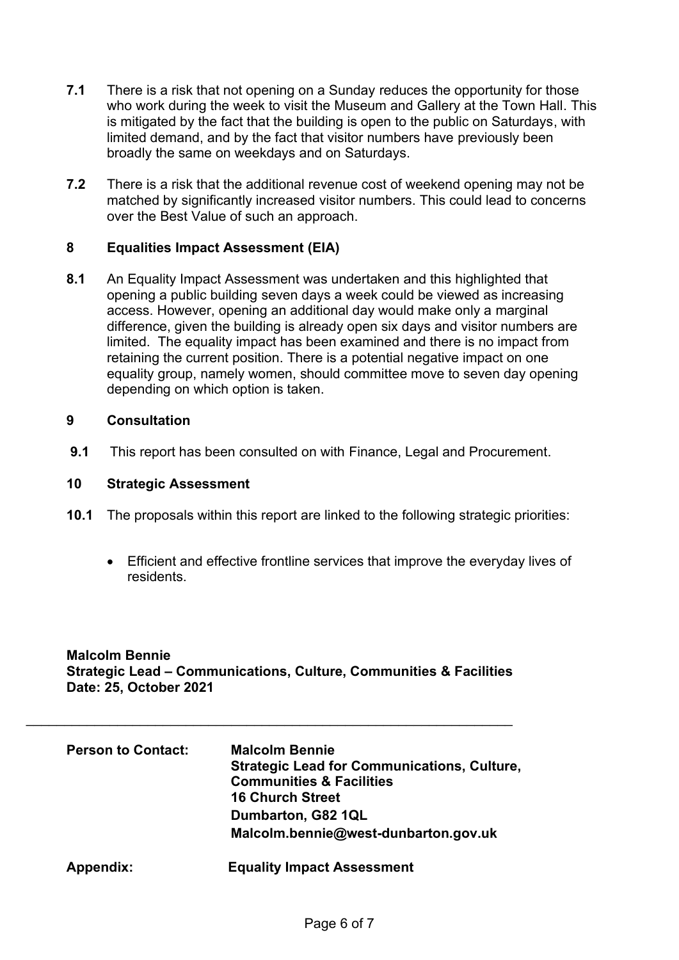- **7.1** There is a risk that not opening on a Sunday reduces the opportunity for those who work during the week to visit the Museum and Gallery at the Town Hall. This is mitigated by the fact that the building is open to the public on Saturdays, with limited demand, and by the fact that visitor numbers have previously been broadly the same on weekdays and on Saturdays.
- **7.2** There is a risk that the additional revenue cost of weekend opening may not be matched by significantly increased visitor numbers. This could lead to concerns over the Best Value of such an approach.

## **8 Equalities Impact Assessment (EIA)**

**8.1** An Equality Impact Assessment was undertaken and this highlighted that opening a public building seven days a week could be viewed as increasing access. However, opening an additional day would make only a marginal difference, given the building is already open six days and visitor numbers are limited. The equality impact has been examined and there is no impact from retaining the current position. There is a potential negative impact on one equality group, namely women, should committee move to seven day opening depending on which option is taken.

### **9 Consultation**

**9.1** This report has been consulted on with Finance, Legal and Procurement.

### **10 Strategic Assessment**

- **10.1** The proposals within this report are linked to the following strategic priorities:
	- Efficient and effective frontline services that improve the everyday lives of residents.

**Malcolm Bennie Strategic Lead – Communications, Culture, Communities & Facilities Date: 25, October 2021** 

| <b>Person to Contact:</b> | <b>Malcolm Bennie</b><br><b>Strategic Lead for Communications, Culture,</b><br><b>Communities &amp; Facilities</b><br><b>16 Church Street</b> |
|---------------------------|-----------------------------------------------------------------------------------------------------------------------------------------------|
|                           | Dumbarton, G82 1QL<br>Malcolm.bennie@west-dunbarton.gov.uk                                                                                    |
| <b>Appendix:</b>          | <b>Equality Impact Assessment</b>                                                                                                             |

\_\_\_\_\_\_\_\_\_\_\_\_\_\_\_\_\_\_\_\_\_\_\_\_\_\_\_\_\_\_\_\_\_\_\_\_\_\_\_\_\_\_\_\_\_\_\_\_\_\_\_\_\_\_\_\_\_\_\_\_\_\_\_\_